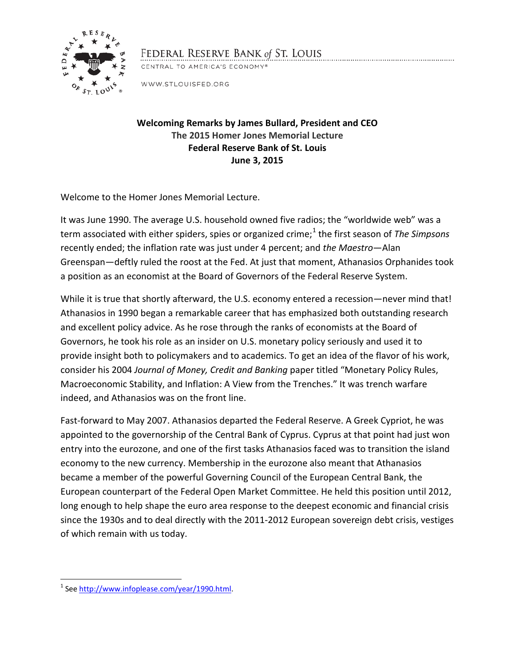

## FEDERAL RESERVE BANK of ST. LOUIS

CENTRAL TO AMERICA'S ECONOMY®

WWW.STLOUISFED.ORG

**Welcoming Remarks by James Bullard, President and CEO The 2015 Homer Jones Memorial Lecture Federal Reserve Bank of St. Louis June 3, 2015**

Welcome to the Homer Jones Memorial Lecture.

It was June 1990. The average U.S. household owned five radios; the "worldwide web" was a term associated with either spiders, spies or organized crime;<sup>[1](#page-0-0)</sup> the first season of *The Simpsons* recently ended; the inflation rate was just under 4 percent; and *the Maestro*—Alan Greenspan—deftly ruled the roost at the Fed. At just that moment, Athanasios Orphanides took a position as an economist at the Board of Governors of the Federal Reserve System.

While it is true that shortly afterward, the U.S. economy entered a recession—never mind that! Athanasios in 1990 began a remarkable career that has emphasized both outstanding research and excellent policy advice. As he rose through the ranks of economists at the Board of Governors, he took his role as an insider on U.S. monetary policy seriously and used it to provide insight both to policymakers and to academics. To get an idea of the flavor of his work, consider his 2004 *Journal of Money, Credit and Banking* paper titled "Monetary Policy Rules, Macroeconomic Stability, and Inflation: A View from the Trenches." It was trench warfare indeed, and Athanasios was on the front line.

Fast-forward to May 2007. Athanasios departed the Federal Reserve. A Greek Cypriot, he was appointed to the governorship of the Central Bank of Cyprus. Cyprus at that point had just won entry into the eurozone, and one of the first tasks Athanasios faced was to transition the island economy to the new currency. Membership in the eurozone also meant that Athanasios became a member of the powerful Governing Council of the European Central Bank, the European counterpart of the Federal Open Market Committee. He held this position until 2012, long enough to help shape the euro area response to the deepest economic and financial crisis since the 1930s and to deal directly with the 2011-2012 European sovereign debt crisis, vestiges of which remain with us today.

<span id="page-0-0"></span> <sup>1</sup> See [http://www.infoplease.com/year/1990.html.](http://www.infoplease.com/year/1990.html)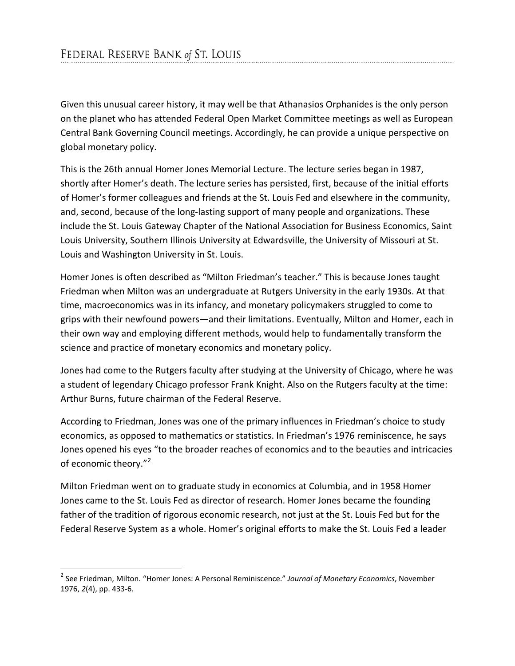Given this unusual career history, it may well be that Athanasios Orphanides is the only person on the planet who has attended Federal Open Market Committee meetings as well as European Central Bank Governing Council meetings. Accordingly, he can provide a unique perspective on global monetary policy.

This is the 26th annual Homer Jones Memorial Lecture. The lecture series began in 1987, shortly after Homer's death. The lecture series has persisted, first, because of the initial efforts of Homer's former colleagues and friends at the St. Louis Fed and elsewhere in the community, and, second, because of the long-lasting support of many people and organizations. These include the St. Louis Gateway Chapter of the National Association for Business Economics, Saint Louis University, Southern Illinois University at Edwardsville, the University of Missouri at St. Louis and Washington University in St. Louis.

Homer Jones is often described as "Milton Friedman's teacher." This is because Jones taught Friedman when Milton was an undergraduate at Rutgers University in the early 1930s. At that time, macroeconomics was in its infancy, and monetary policymakers struggled to come to grips with their newfound powers—and their limitations. Eventually, Milton and Homer, each in their own way and employing different methods, would help to fundamentally transform the science and practice of monetary economics and monetary policy.

Jones had come to the Rutgers faculty after studying at the University of Chicago, where he was a student of legendary Chicago professor Frank Knight. Also on the Rutgers faculty at the time: Arthur Burns, future chairman of the Federal Reserve.

According to Friedman, Jones was one of the primary influences in Friedman's choice to study economics, as opposed to mathematics or statistics. In Friedman's 1976 reminiscence, he says Jones opened his eyes "to the broader reaches of economics and to the beauties and intricacies of economic theory."<sup>[2](#page-1-0)</sup>

Milton Friedman went on to graduate study in economics at Columbia, and in 1958 Homer Jones came to the St. Louis Fed as director of research. Homer Jones became the founding father of the tradition of rigorous economic research, not just at the St. Louis Fed but for the Federal Reserve System as a whole. Homer's original efforts to make the St. Louis Fed a leader

<span id="page-1-0"></span> <sup>2</sup> See Friedman, Milton. "Homer Jones: A Personal Reminiscence." *Journal of Monetary Economics*, November 1976, *2*(4), pp. 433-6.